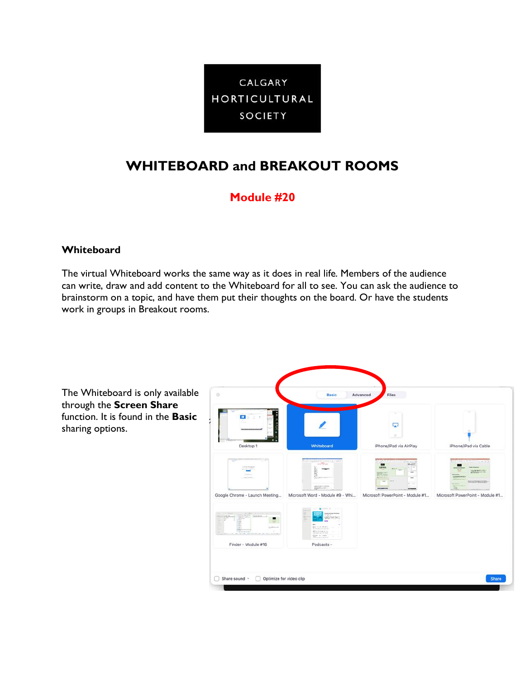

# **WHITEBOARD and BREAKOUT ROOMS**

## **Module #20**

#### **Whiteboard**

The virtual Whiteboard works the same way as it does in real life. Members of the audience can write, draw and add content to the Whiteboard for all to see. You can ask the audience to brainstorm on a topic, and have them put their thoughts on the board. Or have the students work in groups in Breakout rooms.

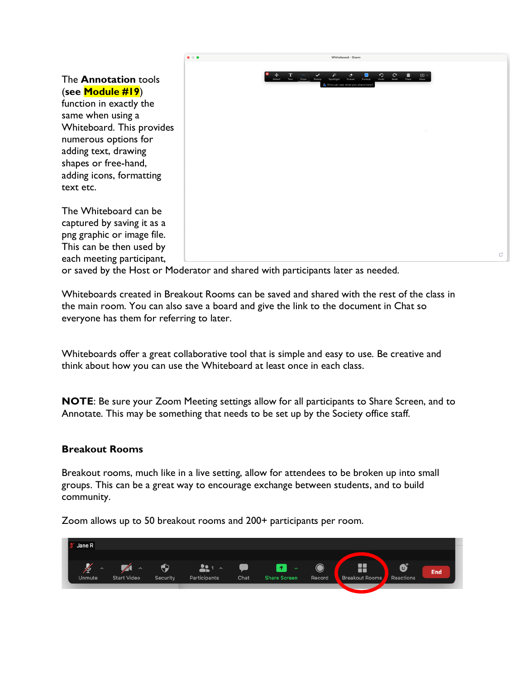

or saved by the Host or Moderator and shared with participants later as needed.

Whiteboards created in Breakout Rooms can be saved and shared with the rest of the class in the main room. You can also save a board and give the link to the document in Chat so everyone has them for referring to later.

Whiteboards offer a great collaborative tool that is simple and easy to use. Be creative and think about how you can use the Whiteboard at least once in each class.

**NOTE**: Be sure your Zoom Meeting settings allow for all participants to Share Screen, and to Annotate. This may be something that needs to be set up by the Society office staff.

#### **Breakout Rooms**

Breakout rooms, much like in a live setting, allow for attendees to be broken up into small groups. This can be a great way to encourage exchange between students, and to build community.

Zoom allows up to 50 breakout rooms and 200+ participants per room.

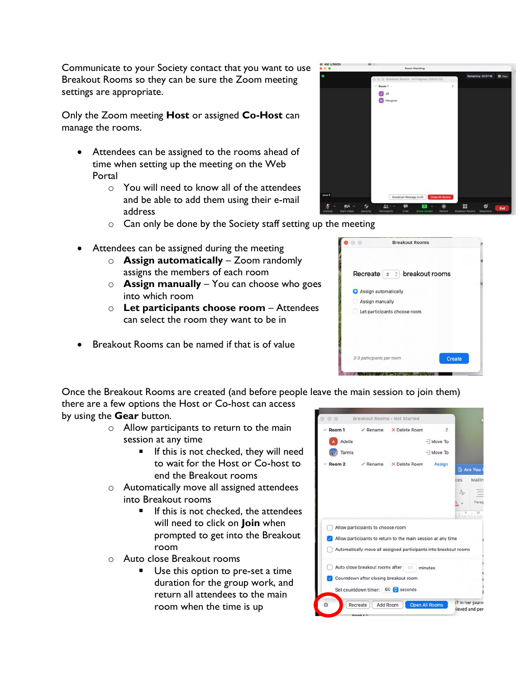Communicate to your Society contact that you want to use Breakout Rooms so they can be sure the Zoom meeting settings are appropriate.

Only the Zoom meeting **Host** or assigned **Co-Host** can manage the rooms.

- Attendees can be assigned to the rooms ahead of time when setting up the meeting on the Web Portal
	- $\circ$  You will need to know all of the attendees and be able to add them using their e-mail address
	- $\circ$  Can only be done by the Society staff setting up the meeting
- Attendees can be assigned during the meeting
	- o **Assign automatically** Zoom randomly assigns the members of each room
	- o **Assign manually** You can choose who goes into which room
	- o **Let participants choose room** Attendees can select the room they want to be in
- Breakout Rooms can be named if that is of value

Once the Breakout Rooms are created (and before people leave the main session to join them)

there are a few options the Host or Co-host can access

- by using the **Gear** button.
	- o Allow participants to return to the main session at any time
		- If this is not checked, they will need to wait for the Host or Co-host to end the Breakout rooms
	- o Automatically move all assigned attendees into Breakout rooms
		- $\blacksquare$  If this is not checked, the attendees will need to click on **Join** when prompted to get into the Breakout room
	- o Auto close Breakout rooms
		- Use this option to pre-set a time duration for the group work, and return all attendees to the main room when the time is up





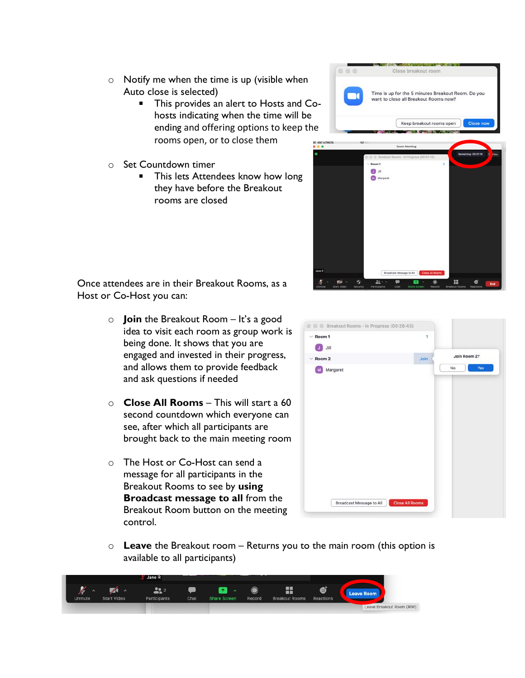- o Notify me when the time is up (visible when Auto close is selected)
	- $\blacksquare$ This provides an alert to Hosts and Cohosts indicating when the time will be ending and offering options to keep the rooms open, or to close them
- o Set Countdown timer
	- $\blacksquare$ This lets Attendees know how long they have before the Breakout rooms are closed



Close breakout room

Time is up for the 5 minutes Breakout Room. Do you want to close all Breakout Rooms now?

Keep breakout rooms open

Close n

 $000$ 

Once attendees are in their Breakout Rooms, as a Host or Co-Host you can:

- o **Join** the Breakout Room It's a good idea to visit each room as group work is being done. It shows that you are engaged and invested in their progress, and allows them to provide feedback and ask questions if needed
- o **Close All Rooms** This will start a 60 second countdown which everyone can see, after which all participants are brought back to the main meeting room
- o The Host or Co-Host can send a message for all participants in the Breakout Rooms to see by **using Broadcast message to all** from the Breakout Room button on the meeting control.



o **Leave** the Breakout room – Returns you to the main room (this option is available to all participants)